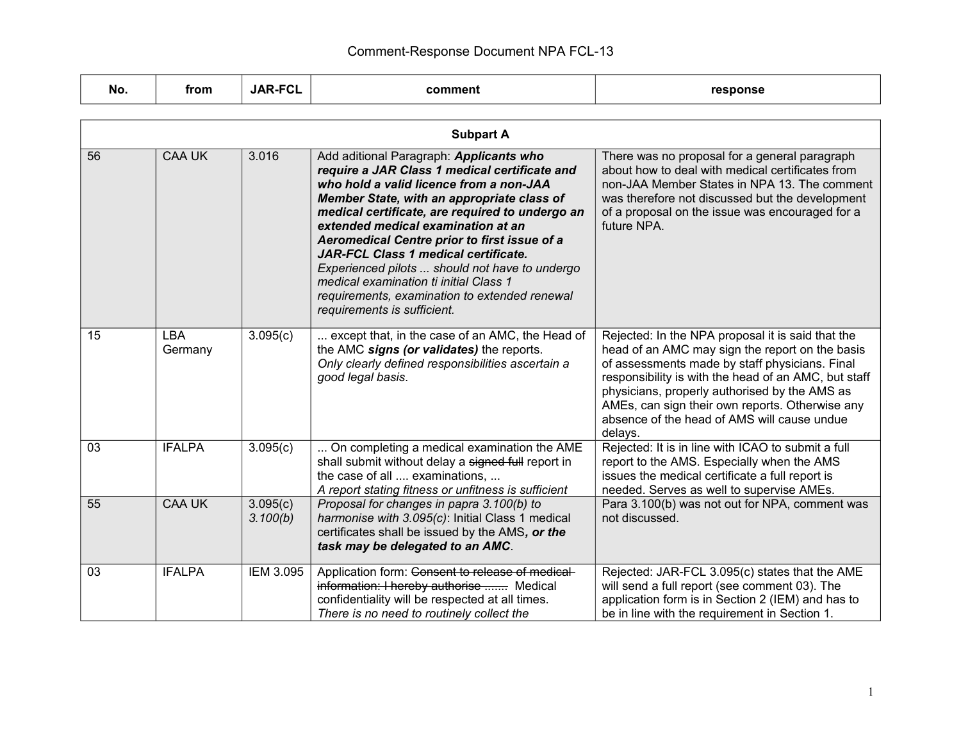| No. | from                  | <b>JAR-FCL</b>       | comment                                                                                                                                                                                                                                                                                                                                                                                                                                                                                                                                               | response                                                                                                                                                                                                                                                                                                                                                                     |
|-----|-----------------------|----------------------|-------------------------------------------------------------------------------------------------------------------------------------------------------------------------------------------------------------------------------------------------------------------------------------------------------------------------------------------------------------------------------------------------------------------------------------------------------------------------------------------------------------------------------------------------------|------------------------------------------------------------------------------------------------------------------------------------------------------------------------------------------------------------------------------------------------------------------------------------------------------------------------------------------------------------------------------|
|     |                       |                      |                                                                                                                                                                                                                                                                                                                                                                                                                                                                                                                                                       |                                                                                                                                                                                                                                                                                                                                                                              |
|     |                       |                      | <b>Subpart A</b>                                                                                                                                                                                                                                                                                                                                                                                                                                                                                                                                      |                                                                                                                                                                                                                                                                                                                                                                              |
| 56  | <b>CAA UK</b>         | 3.016                | Add aditional Paragraph: Applicants who<br>require a JAR Class 1 medical certificate and<br>who hold a valid licence from a non-JAA<br>Member State, with an appropriate class of<br>medical certificate, are required to undergo an<br>extended medical examination at an<br>Aeromedical Centre prior to first issue of a<br><b>JAR-FCL Class 1 medical certificate.</b><br>Experienced pilots  should not have to undergo<br>medical examination ti initial Class 1<br>requirements, examination to extended renewal<br>requirements is sufficient. | There was no proposal for a general paragraph<br>about how to deal with medical certificates from<br>non-JAA Member States in NPA 13. The comment<br>was therefore not discussed but the development<br>of a proposal on the issue was encouraged for a<br>future NPA.                                                                                                       |
| 15  | <b>LBA</b><br>Germany | 3.095(c)             | except that, in the case of an AMC, the Head of<br>the AMC signs (or validates) the reports.<br>Only clearly defined responsibilities ascertain a<br>good legal basis.                                                                                                                                                                                                                                                                                                                                                                                | Rejected: In the NPA proposal it is said that the<br>head of an AMC may sign the report on the basis<br>of assessments made by staff physicians. Final<br>responsibility is with the head of an AMC, but staff<br>physicians, properly authorised by the AMS as<br>AMEs, can sign their own reports. Otherwise any<br>absence of the head of AMS will cause undue<br>delays. |
| 03  | <b>IFALPA</b>         | 3.095(c)             | On completing a medical examination the AME<br>shall submit without delay a signed full report in<br>the case of all  examinations,<br>A report stating fitness or unfitness is sufficient                                                                                                                                                                                                                                                                                                                                                            | Rejected: It is in line with ICAO to submit a full<br>report to the AMS. Especially when the AMS<br>issues the medical certificate a full report is<br>needed. Serves as well to supervise AMEs.                                                                                                                                                                             |
| 55  | <b>CAA UK</b>         | 3.095(c)<br>3.100(b) | Proposal for changes in papra 3.100(b) to<br>harmonise with 3.095(c): Initial Class 1 medical<br>certificates shall be issued by the AMS, or the<br>task may be delegated to an AMC.                                                                                                                                                                                                                                                                                                                                                                  | Para 3.100(b) was not out for NPA, comment was<br>not discussed.                                                                                                                                                                                                                                                                                                             |
| 03  | <b>IFALPA</b>         | <b>IEM 3.095</b>     | Application form: Consent to release of medical-<br>information: I hereby authorise  Medical<br>confidentiality will be respected at all times.<br>There is no need to routinely collect the                                                                                                                                                                                                                                                                                                                                                          | Rejected: JAR-FCL 3.095(c) states that the AME<br>will send a full report (see comment 03). The<br>application form is in Section 2 (IEM) and has to<br>be in line with the requirement in Section 1.                                                                                                                                                                        |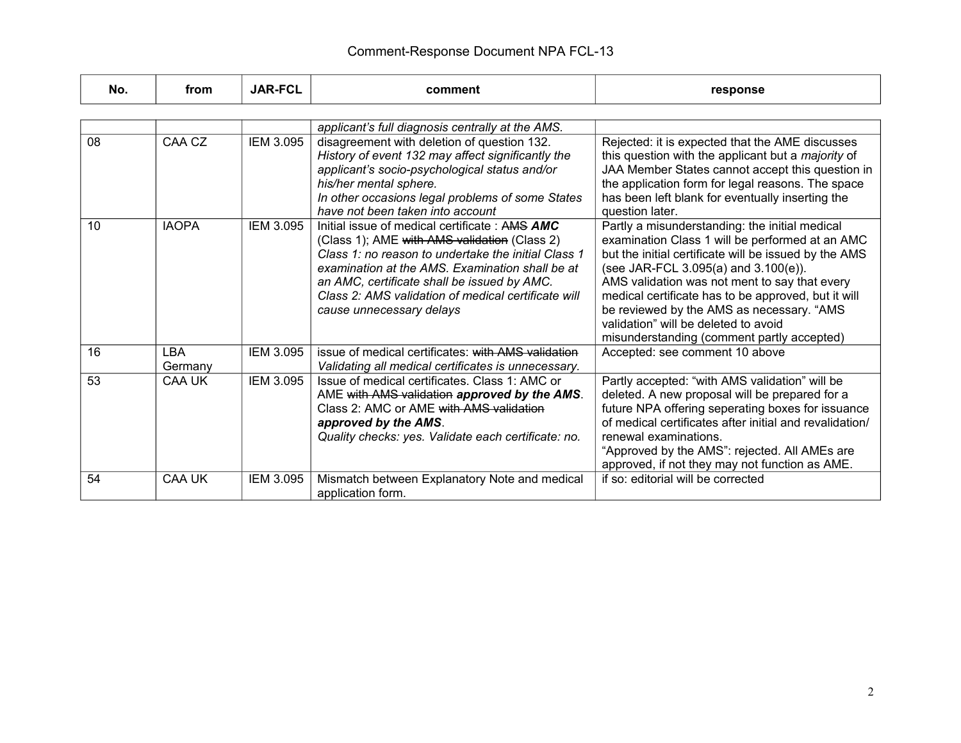| No. | from                  | <b>JAR-FCL</b>   | comment                                                                                                                                                                                                                                                                                                                                    | response                                                                                                                                                                                                                                                                                                                                                                                                                                      |
|-----|-----------------------|------------------|--------------------------------------------------------------------------------------------------------------------------------------------------------------------------------------------------------------------------------------------------------------------------------------------------------------------------------------------|-----------------------------------------------------------------------------------------------------------------------------------------------------------------------------------------------------------------------------------------------------------------------------------------------------------------------------------------------------------------------------------------------------------------------------------------------|
|     |                       |                  |                                                                                                                                                                                                                                                                                                                                            |                                                                                                                                                                                                                                                                                                                                                                                                                                               |
|     |                       |                  | applicant's full diagnosis centrally at the AMS.                                                                                                                                                                                                                                                                                           |                                                                                                                                                                                                                                                                                                                                                                                                                                               |
| 08  | CAA CZ                | <b>IEM 3.095</b> | disagreement with deletion of question 132.<br>History of event 132 may affect significantly the<br>applicant's socio-psychological status and/or<br>his/her mental sphere.<br>In other occasions legal problems of some States<br>have not been taken into account                                                                        | Rejected: it is expected that the AME discusses<br>this question with the applicant but a <i>majority</i> of<br>JAA Member States cannot accept this question in<br>the application form for legal reasons. The space<br>has been left blank for eventually inserting the<br>question later.                                                                                                                                                  |
| 10  | <b>IAOPA</b>          | <b>IEM 3.095</b> | Initial issue of medical certificate : AMS AMC<br>(Class 1); AME with AMS validation (Class 2)<br>Class 1: no reason to undertake the initial Class 1<br>examination at the AMS. Examination shall be at<br>an AMC, certificate shall be issued by AMC.<br>Class 2: AMS validation of medical certificate will<br>cause unnecessary delays | Partly a misunderstanding: the initial medical<br>examination Class 1 will be performed at an AMC<br>but the initial certificate will be issued by the AMS<br>(see JAR-FCL 3.095(a) and 3.100(e)).<br>AMS validation was not ment to say that every<br>medical certificate has to be approved, but it will<br>be reviewed by the AMS as necessary. "AMS<br>validation" will be deleted to avoid<br>misunderstanding (comment partly accepted) |
| 16  | <b>LBA</b><br>Germany | <b>IEM 3.095</b> | issue of medical certificates: with AMS validation<br>Validating all medical certificates is unnecessary.                                                                                                                                                                                                                                  | Accepted: see comment 10 above                                                                                                                                                                                                                                                                                                                                                                                                                |
| 53  | CAA UK                | <b>IEM 3.095</b> | Issue of medical certificates. Class 1: AMC or<br>AME with AMS validation approved by the AMS.<br>Class 2: AMC or AME with AMS validation<br>approved by the AMS.<br>Quality checks: yes. Validate each certificate: no.                                                                                                                   | Partly accepted: "with AMS validation" will be<br>deleted. A new proposal will be prepared for a<br>future NPA offering seperating boxes for issuance<br>of medical certificates after initial and revalidation/<br>renewal examinations.<br>"Approved by the AMS": rejected. All AMEs are<br>approved, if not they may not function as AME.                                                                                                  |
| 54  | <b>CAA UK</b>         | IEM 3.095        | Mismatch between Explanatory Note and medical<br>application form.                                                                                                                                                                                                                                                                         | if so: editorial will be corrected                                                                                                                                                                                                                                                                                                                                                                                                            |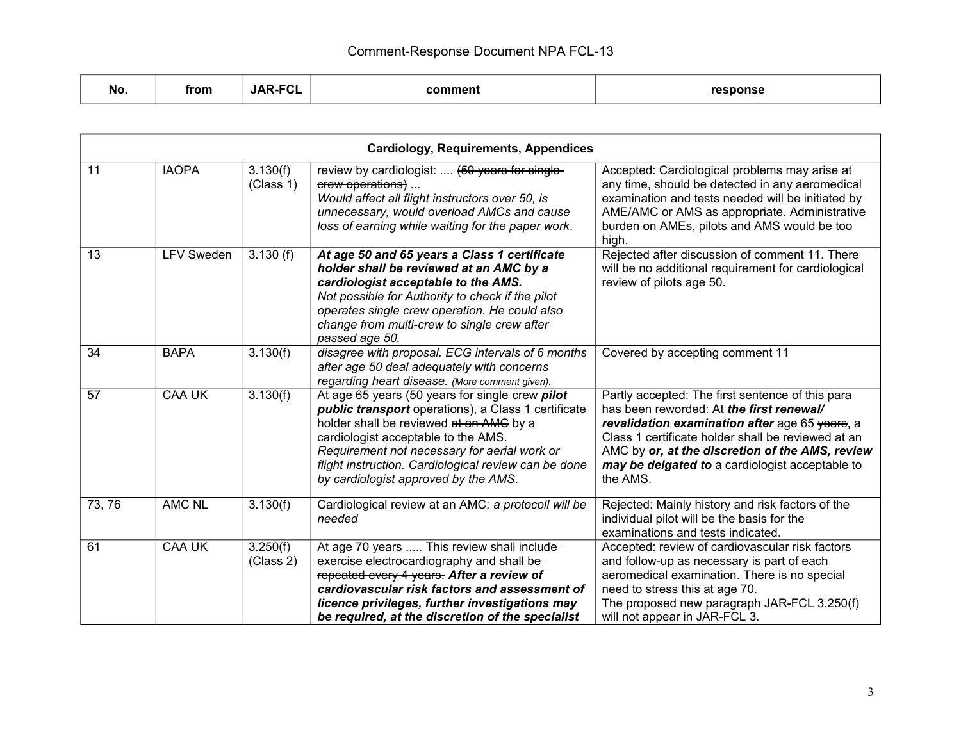| <b>No</b> | from | <b>JAR-FCL</b> | comment | response |
|-----------|------|----------------|---------|----------|
|-----------|------|----------------|---------|----------|

|        | <b>Cardiology, Requirements, Appendices</b> |                       |                                                                                                                                                                                                                                                                                                                                          |                                                                                                                                                                                                                                                                                                                        |  |
|--------|---------------------------------------------|-----------------------|------------------------------------------------------------------------------------------------------------------------------------------------------------------------------------------------------------------------------------------------------------------------------------------------------------------------------------------|------------------------------------------------------------------------------------------------------------------------------------------------------------------------------------------------------------------------------------------------------------------------------------------------------------------------|--|
| 11     | <b>IAOPA</b>                                | 3.130(f)<br>(Class 1) | review by cardiologist:  (50 years for single-<br>erew operations)<br>Would affect all flight instructors over 50, is<br>unnecessary, would overload AMCs and cause<br>loss of earning while waiting for the paper work.                                                                                                                 | Accepted: Cardiological problems may arise at<br>any time, should be detected in any aeromedical<br>examination and tests needed will be initiated by<br>AME/AMC or AMS as appropriate. Administrative<br>burden on AMEs, pilots and AMS would be too<br>high.                                                         |  |
| 13     | <b>LFV Sweden</b>                           | 3.130(f)              | At age 50 and 65 years a Class 1 certificate<br>holder shall be reviewed at an AMC by a<br>cardiologist acceptable to the AMS.<br>Not possible for Authority to check if the pilot<br>operates single crew operation. He could also<br>change from multi-crew to single crew after<br>passed age 50.                                     | Rejected after discussion of comment 11. There<br>will be no additional requirement for cardiological<br>review of pilots age 50.                                                                                                                                                                                      |  |
| 34     | <b>BAPA</b>                                 | 3.130(f)              | disagree with proposal. ECG intervals of 6 months<br>after age 50 deal adequately with concerns<br>regarding heart disease. (More comment given).                                                                                                                                                                                        | Covered by accepting comment 11                                                                                                                                                                                                                                                                                        |  |
| 57     | <b>CAA UK</b>                               | 3.130(f)              | At age 65 years (50 years for single erew pilot<br>public transport operations), a Class 1 certificate<br>holder shall be reviewed at an AMG by a<br>cardiologist acceptable to the AMS.<br>Requirement not necessary for aerial work or<br>flight instruction. Cardiological review can be done<br>by cardiologist approved by the AMS. | Partly accepted: The first sentence of this para<br>has been reworded: At the first renewal/<br>revalidation examination after age 65 years, a<br>Class 1 certificate holder shall be reviewed at an<br>AMC by or, at the discretion of the AMS, review<br>may be delgated to a cardiologist acceptable to<br>the AMS. |  |
| 73, 76 | <b>AMC NL</b>                               | 3.130(f)              | Cardiological review at an AMC: a protocoll will be<br>needed                                                                                                                                                                                                                                                                            | Rejected: Mainly history and risk factors of the<br>individual pilot will be the basis for the<br>examinations and tests indicated.                                                                                                                                                                                    |  |
| 61     | <b>CAA UK</b>                               | 3.250(f)<br>(Class 2) | At age 70 years  This review shall include-<br>exercise electrocardiography and shall be-<br>repeated every 4 years. After a review of<br>cardiovascular risk factors and assessment of<br>licence privileges, further investigations may<br>be required, at the discretion of the specialist                                            | Accepted: review of cardiovascular risk factors<br>and follow-up as necessary is part of each<br>aeromedical examination. There is no special<br>need to stress this at age 70.<br>The proposed new paragraph JAR-FCL 3.250(f)<br>will not appear in JAR-FCL 3.                                                        |  |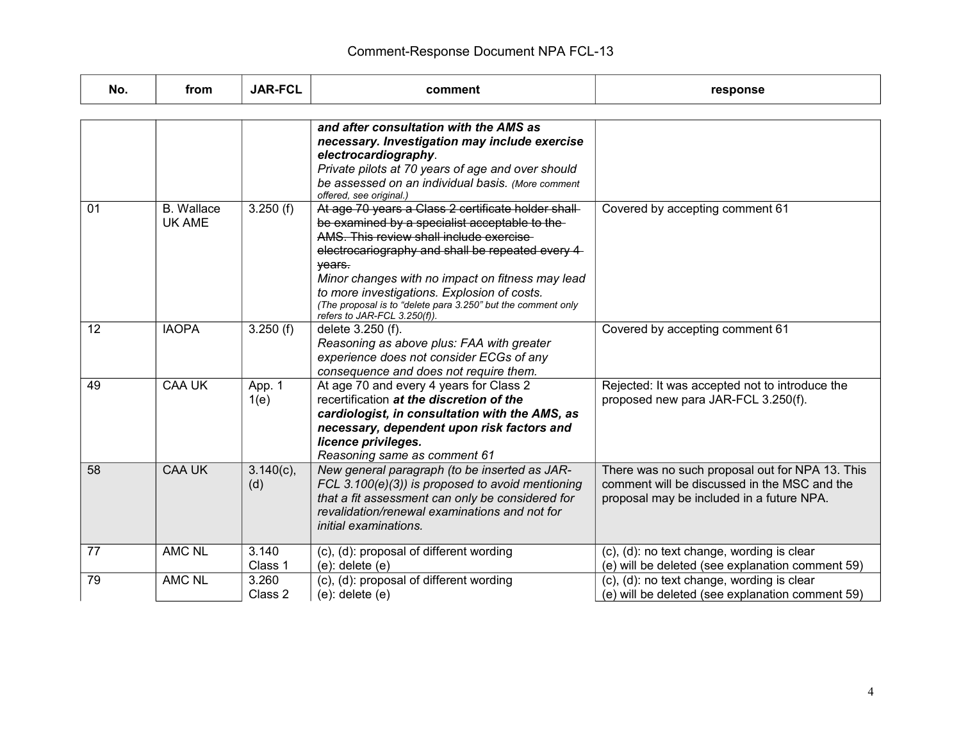| No. | from                               | <b>JAR-FCL</b>      | comment                                                                                                                                                                                                                                                                                                                                                                                                           | response                                                                                                                                     |
|-----|------------------------------------|---------------------|-------------------------------------------------------------------------------------------------------------------------------------------------------------------------------------------------------------------------------------------------------------------------------------------------------------------------------------------------------------------------------------------------------------------|----------------------------------------------------------------------------------------------------------------------------------------------|
|     |                                    |                     |                                                                                                                                                                                                                                                                                                                                                                                                                   |                                                                                                                                              |
|     |                                    |                     | and after consultation with the AMS as<br>necessary. Investigation may include exercise<br>electrocardiography.<br>Private pilots at 70 years of age and over should<br>be assessed on an individual basis. (More comment<br>offered, see original.)                                                                                                                                                              |                                                                                                                                              |
| 01  | <b>B.</b> Wallace<br><b>UK AME</b> | 3.250(f)            | At age 70 years a Class 2 certificate holder shall-<br>be examined by a specialist acceptable to the-<br>AMS. This review shall include exercise<br>electrocariography and shall be repeated every 4<br>years.<br>Minor changes with no impact on fitness may lead<br>to more investigations. Explosion of costs.<br>(The proposal is to "delete para 3.250" but the comment only<br>refers to JAR-FCL 3.250(f)). | Covered by accepting comment 61                                                                                                              |
| 12  | <b>IAOPA</b>                       | 3.250(f)            | delete 3.250 (f).<br>Reasoning as above plus: FAA with greater<br>experience does not consider ECGs of any<br>consequence and does not require them.                                                                                                                                                                                                                                                              | Covered by accepting comment 61                                                                                                              |
| 49  | <b>CAA UK</b>                      | App. 1<br>1(e)      | At age 70 and every 4 years for Class 2<br>recertification at the discretion of the<br>cardiologist, in consultation with the AMS, as<br>necessary, dependent upon risk factors and<br>licence privileges.<br>Reasoning same as comment 61                                                                                                                                                                        | Rejected: It was accepted not to introduce the<br>proposed new para JAR-FCL 3.250(f).                                                        |
| 58  | <b>CAA UK</b>                      | $3.140(c)$ ,<br>(d) | New general paragraph (to be inserted as JAR-<br>FCL 3.100 $(e)(3)$ ) is proposed to avoid mentioning<br>that a fit assessment can only be considered for<br>revalidation/renewal examinations and not for<br><i>initial examinations.</i>                                                                                                                                                                        | There was no such proposal out for NPA 13. This<br>comment will be discussed in the MSC and the<br>proposal may be included in a future NPA. |
| 77  | <b>AMC NL</b>                      | 3.140<br>Class 1    | (c), (d): proposal of different wording<br>$(e)$ : delete $(e)$                                                                                                                                                                                                                                                                                                                                                   | (c), (d): no text change, wording is clear<br>(e) will be deleted (see explanation comment 59)                                               |
| 79  | <b>AMC NL</b>                      | 3.260<br>Class 2    | (c), (d): proposal of different wording<br>$(e)$ : delete $(e)$                                                                                                                                                                                                                                                                                                                                                   | (c), (d): no text change, wording is clear<br>(e) will be deleted (see explanation comment 59)                                               |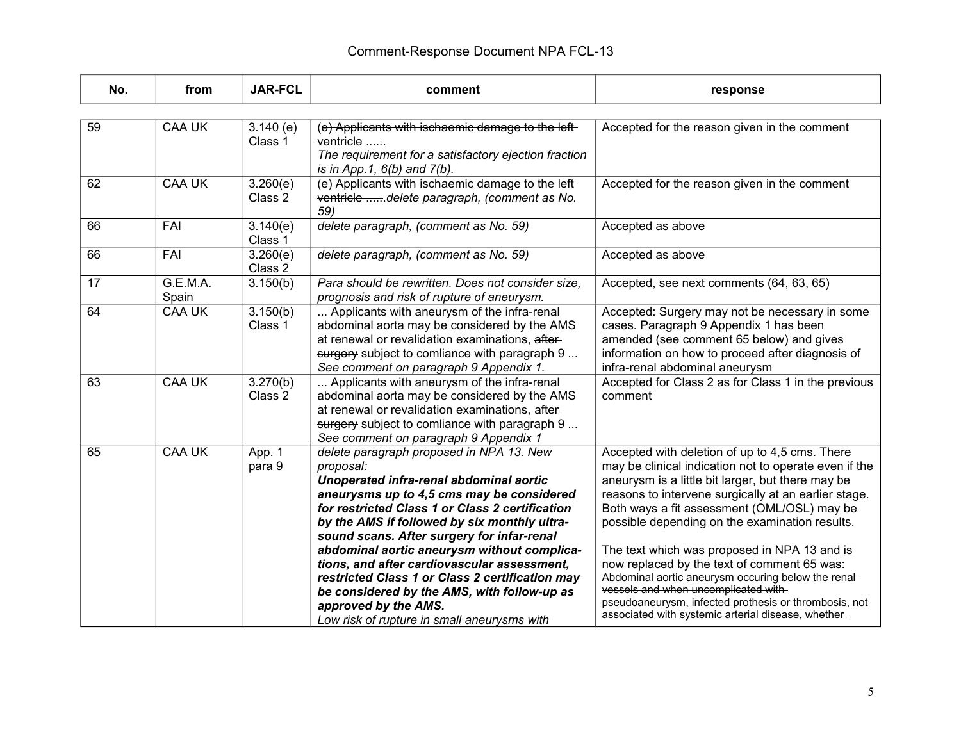| No. | from              | <b>JAR-FCL</b>      | comment                                                                                                                                                                                                                                                                                                                                                                                                                                                                                                                                                               | response                                                                                                                                                                                                                                                                                                                                                                                                                                                                                                                                                                                                                             |
|-----|-------------------|---------------------|-----------------------------------------------------------------------------------------------------------------------------------------------------------------------------------------------------------------------------------------------------------------------------------------------------------------------------------------------------------------------------------------------------------------------------------------------------------------------------------------------------------------------------------------------------------------------|--------------------------------------------------------------------------------------------------------------------------------------------------------------------------------------------------------------------------------------------------------------------------------------------------------------------------------------------------------------------------------------------------------------------------------------------------------------------------------------------------------------------------------------------------------------------------------------------------------------------------------------|
|     |                   |                     |                                                                                                                                                                                                                                                                                                                                                                                                                                                                                                                                                                       |                                                                                                                                                                                                                                                                                                                                                                                                                                                                                                                                                                                                                                      |
| 59  | <b>CAA UK</b>     | 3.140(e)<br>Class 1 | (e) Applicants with ischaemic damage to the left-<br>ventricle<br>The requirement for a satisfactory ejection fraction<br>is in App. 1, $6(b)$ and $7(b)$ .                                                                                                                                                                                                                                                                                                                                                                                                           | Accepted for the reason given in the comment                                                                                                                                                                                                                                                                                                                                                                                                                                                                                                                                                                                         |
| 62  | <b>CAA UK</b>     | 3.260(e)<br>Class 2 | (e) Applicants with ischaemic damage to the left-<br>ventricle delete paragraph, (comment as No.<br>59)                                                                                                                                                                                                                                                                                                                                                                                                                                                               | Accepted for the reason given in the comment                                                                                                                                                                                                                                                                                                                                                                                                                                                                                                                                                                                         |
| 66  | FAI               | 3.140(e)<br>Class 1 | delete paragraph, (comment as No. 59)                                                                                                                                                                                                                                                                                                                                                                                                                                                                                                                                 | Accepted as above                                                                                                                                                                                                                                                                                                                                                                                                                                                                                                                                                                                                                    |
| 66  | FAI               | 3.260(e)<br>Class 2 | delete paragraph, (comment as No. 59)                                                                                                                                                                                                                                                                                                                                                                                                                                                                                                                                 | Accepted as above                                                                                                                                                                                                                                                                                                                                                                                                                                                                                                                                                                                                                    |
| 17  | G.E.M.A.<br>Spain | 3.150(b)            | Para should be rewritten. Does not consider size,<br>prognosis and risk of rupture of aneurysm.                                                                                                                                                                                                                                                                                                                                                                                                                                                                       | Accepted, see next comments (64, 63, 65)                                                                                                                                                                                                                                                                                                                                                                                                                                                                                                                                                                                             |
| 64  | <b>CAA UK</b>     | 3.150(b)<br>Class 1 | Applicants with aneurysm of the infra-renal<br>abdominal aorta may be considered by the AMS<br>at renewal or revalidation examinations, after-<br>surgery subject to comliance with paragraph 9<br>See comment on paragraph 9 Appendix 1.                                                                                                                                                                                                                                                                                                                             | Accepted: Surgery may not be necessary in some<br>cases. Paragraph 9 Appendix 1 has been<br>amended (see comment 65 below) and gives<br>information on how to proceed after diagnosis of<br>infra-renal abdominal aneurysm                                                                                                                                                                                                                                                                                                                                                                                                           |
| 63  | <b>CAA UK</b>     | 3.270(b)<br>Class 2 | Applicants with aneurysm of the infra-renal<br>abdominal aorta may be considered by the AMS<br>at renewal or revalidation examinations, after-<br>surgery subject to comliance with paragraph 9<br>See comment on paragraph 9 Appendix 1                                                                                                                                                                                                                                                                                                                              | Accepted for Class 2 as for Class 1 in the previous<br>comment                                                                                                                                                                                                                                                                                                                                                                                                                                                                                                                                                                       |
| 65  | <b>CAA UK</b>     | App. 1<br>para 9    | delete paragraph proposed in NPA 13. New<br>proposal:<br>Unoperated infra-renal abdominal aortic<br>aneurysms up to 4,5 cms may be considered<br>for restricted Class 1 or Class 2 certification<br>by the AMS if followed by six monthly ultra-<br>sound scans. After surgery for infar-renal<br>abdominal aortic aneurysm without complica-<br>tions, and after cardiovascular assessment,<br>restricted Class 1 or Class 2 certification may<br>be considered by the AMS, with follow-up as<br>approved by the AMS.<br>Low risk of rupture in small aneurysms with | Accepted with deletion of up to 4,5 cms. There<br>may be clinical indication not to operate even if the<br>aneurysm is a little bit larger, but there may be<br>reasons to intervene surgically at an earlier stage.<br>Both ways a fit assessment (OML/OSL) may be<br>possible depending on the examination results.<br>The text which was proposed in NPA 13 and is<br>now replaced by the text of comment 65 was:<br>Abdominal aortic aneurysm occuring below the renal-<br>vessels and when uncomplicated with-<br>pseudoaneurysm, infected prothesis or thrombosis, not-<br>associated with systemic arterial disease, whether- |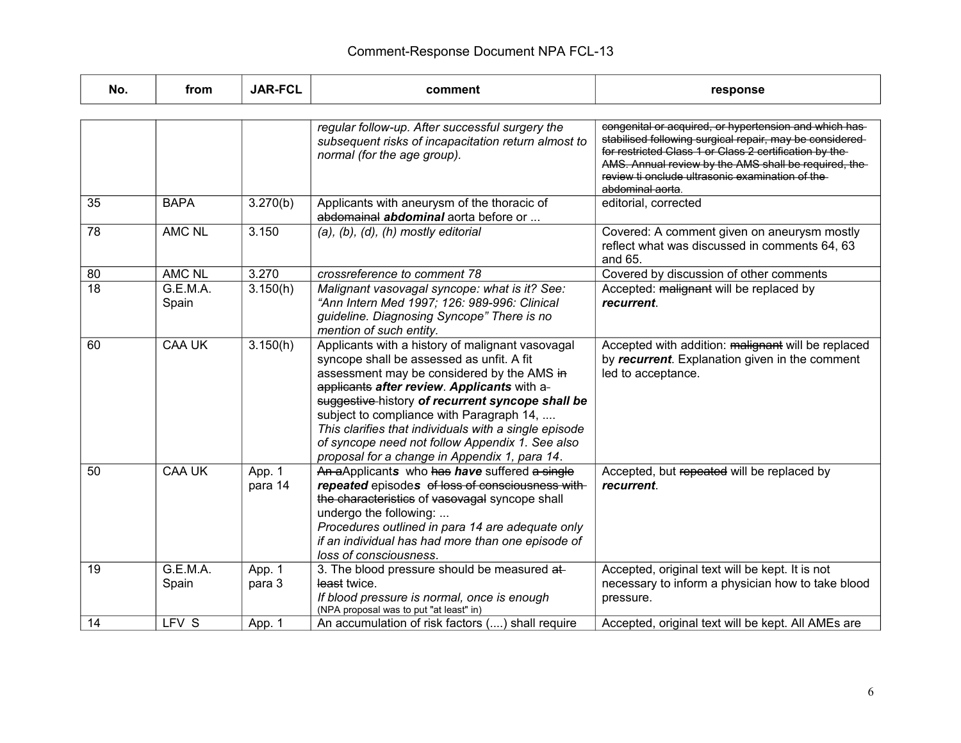| No. | from              | <b>JAR-FCL</b>    | comment                                                                                                                                                                                                                                                                                                                                                                                                                                                 | response                                                                                                                                                                                                                                                                                                      |
|-----|-------------------|-------------------|---------------------------------------------------------------------------------------------------------------------------------------------------------------------------------------------------------------------------------------------------------------------------------------------------------------------------------------------------------------------------------------------------------------------------------------------------------|---------------------------------------------------------------------------------------------------------------------------------------------------------------------------------------------------------------------------------------------------------------------------------------------------------------|
|     |                   |                   |                                                                                                                                                                                                                                                                                                                                                                                                                                                         |                                                                                                                                                                                                                                                                                                               |
|     |                   |                   | regular follow-up. After successful surgery the<br>subsequent risks of incapacitation return almost to<br>normal (for the age group).                                                                                                                                                                                                                                                                                                                   | congenital or acquired, or hypertension and which has-<br>stabilised following surgical repair, may be considered-<br>for restricted Class 1 or Class 2 certification by the-<br>AMS. Annual review by the AMS shall be required, the<br>review ti onclude ultrasonic examination of the-<br>abdominal aorta. |
| 35  | <b>BAPA</b>       | 3.270(b)          | Applicants with aneurysm of the thoracic of<br>abdomainal abdominal aorta before or                                                                                                                                                                                                                                                                                                                                                                     | editorial, corrected                                                                                                                                                                                                                                                                                          |
| 78  | <b>AMC NL</b>     | 3.150             | $(a), (b), (d), (h)$ mostly editorial                                                                                                                                                                                                                                                                                                                                                                                                                   | Covered: A comment given on aneurysm mostly<br>reflect what was discussed in comments 64, 63<br>and 65.                                                                                                                                                                                                       |
| 80  | <b>AMC NL</b>     | 3.270             | crossreference to comment 78                                                                                                                                                                                                                                                                                                                                                                                                                            | Covered by discussion of other comments                                                                                                                                                                                                                                                                       |
| 18  | G.E.M.A.<br>Spain | 3.150(h)          | Malignant vasovagal syncope: what is it? See:<br>"Ann Intern Med 1997; 126: 989-996: Clinical<br>guideline. Diagnosing Syncope" There is no<br>mention of such entity.                                                                                                                                                                                                                                                                                  | Accepted: malignant will be replaced by<br>recurrent.                                                                                                                                                                                                                                                         |
| 60  | <b>CAA UK</b>     | 3.150(h)          | Applicants with a history of malignant vasovagal<br>syncope shall be assessed as unfit. A fit<br>assessment may be considered by the AMS in<br>applicants after review. Applicants with a-<br>suggestive-history of recurrent syncope shall be<br>subject to compliance with Paragraph 14,<br>This clarifies that individuals with a single episode<br>of syncope need not follow Appendix 1. See also<br>proposal for a change in Appendix 1, para 14. | Accepted with addition: malignant will be replaced<br>by recurrent. Explanation given in the comment<br>led to acceptance.                                                                                                                                                                                    |
| 50  | <b>CAA UK</b>     | App. 1<br>para 14 | An aApplicants who has have suffered a single<br>repeated episodes of loss of consciousness with<br>the characteristics of vasovagal syncope shall<br>undergo the following:<br>Procedures outlined in para 14 are adequate only<br>if an individual has had more than one episode of<br>loss of consciousness.                                                                                                                                         | Accepted, but repeated will be replaced by<br>recurrent.                                                                                                                                                                                                                                                      |
| 19  | G.E.M.A.<br>Spain | App. 1<br>para 3  | 3. The blood pressure should be measured at-<br>least twice.<br>If blood pressure is normal, once is enough<br>(NPA proposal was to put "at least" in)                                                                                                                                                                                                                                                                                                  | Accepted, original text will be kept. It is not<br>necessary to inform a physician how to take blood<br>pressure.                                                                                                                                                                                             |
| 14  | LFV S             | App. 1            | An accumulation of risk factors () shall require                                                                                                                                                                                                                                                                                                                                                                                                        | Accepted, original text will be kept. All AMEs are                                                                                                                                                                                                                                                            |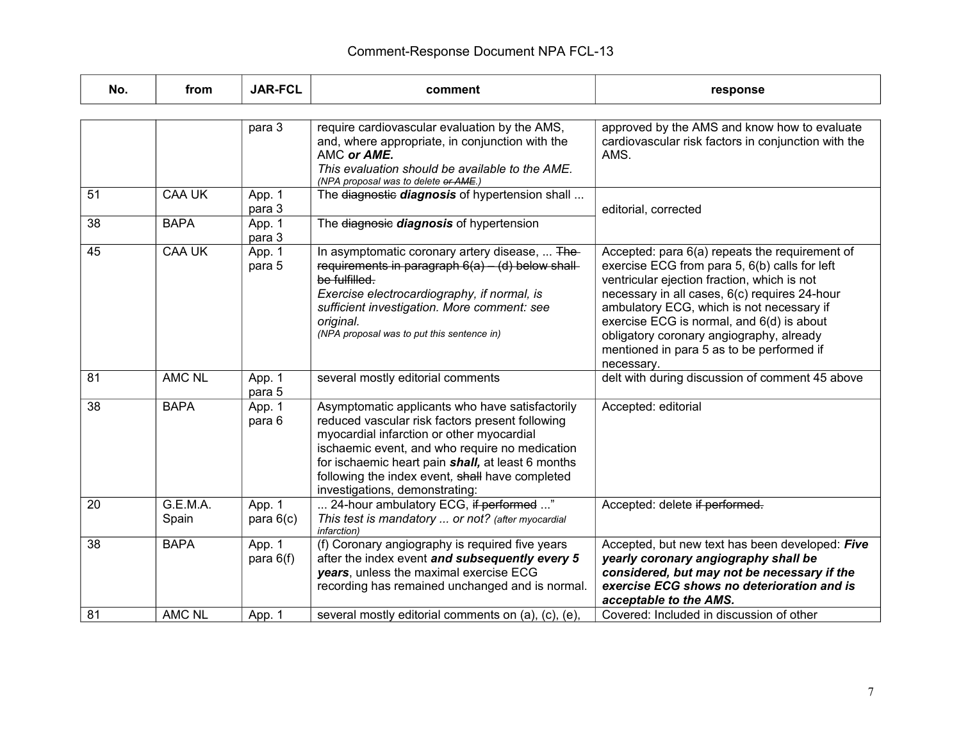| No. | from              | <b>JAR-FCL</b>        | comment                                                                                                                                                                                                                                                                                                                                     | response                                                                                                                                                                                                                                                                                                                                                                                         |
|-----|-------------------|-----------------------|---------------------------------------------------------------------------------------------------------------------------------------------------------------------------------------------------------------------------------------------------------------------------------------------------------------------------------------------|--------------------------------------------------------------------------------------------------------------------------------------------------------------------------------------------------------------------------------------------------------------------------------------------------------------------------------------------------------------------------------------------------|
|     |                   |                       |                                                                                                                                                                                                                                                                                                                                             |                                                                                                                                                                                                                                                                                                                                                                                                  |
|     |                   | para 3                | require cardiovascular evaluation by the AMS,<br>and, where appropriate, in conjunction with the<br>AMC or AME.<br>This evaluation should be available to the AME.<br>(NPA proposal was to delete or AME.)                                                                                                                                  | approved by the AMS and know how to evaluate<br>cardiovascular risk factors in conjunction with the<br>AMS.                                                                                                                                                                                                                                                                                      |
| 51  | <b>CAA UK</b>     | App. 1<br>para 3      | The diagnostic diagnosis of hypertension shall                                                                                                                                                                                                                                                                                              | editorial, corrected                                                                                                                                                                                                                                                                                                                                                                             |
| 38  | <b>BAPA</b>       | App. 1<br>para 3      | The diagnosie diagnosis of hypertension                                                                                                                                                                                                                                                                                                     |                                                                                                                                                                                                                                                                                                                                                                                                  |
| 45  | <b>CAA UK</b>     | App. 1<br>para 5      | In asymptomatic coronary artery disease,  The-<br>requirements in paragraph $6(a) - (d)$ below shall-<br>be fulfilled.<br>Exercise electrocardiography, if normal, is<br>sufficient investigation. More comment: see<br>original.<br>(NPA proposal was to put this sentence in)                                                             | Accepted: para 6(a) repeats the requirement of<br>exercise ECG from para 5, 6(b) calls for left<br>ventricular ejection fraction, which is not<br>necessary in all cases, 6(c) requires 24-hour<br>ambulatory ECG, which is not necessary if<br>exercise ECG is normal, and 6(d) is about<br>obligatory coronary angiography, already<br>mentioned in para 5 as to be performed if<br>necessary. |
| 81  | <b>AMC NL</b>     | App. 1<br>para 5      | several mostly editorial comments                                                                                                                                                                                                                                                                                                           | delt with during discussion of comment 45 above                                                                                                                                                                                                                                                                                                                                                  |
| 38  | <b>BAPA</b>       | App. 1<br>para 6      | Asymptomatic applicants who have satisfactorily<br>reduced vascular risk factors present following<br>myocardial infarction or other myocardial<br>ischaemic event, and who require no medication<br>for ischaemic heart pain shall, at least 6 months<br>following the index event, shall have completed<br>investigations, demonstrating: | Accepted: editorial                                                                                                                                                                                                                                                                                                                                                                              |
| 20  | G.E.M.A.<br>Spain | App. 1<br>para $6(c)$ | 24-hour ambulatory ECG, if performed "<br>This test is mandatory  or not? (after myocardial<br>infarction)                                                                                                                                                                                                                                  | Accepted: delete if performed.                                                                                                                                                                                                                                                                                                                                                                   |
| 38  | <b>BAPA</b>       | App. 1<br>para $6(f)$ | (f) Coronary angiography is required five years<br>after the index event and subsequently every 5<br>years, unless the maximal exercise ECG<br>recording has remained unchanged and is normal.                                                                                                                                              | Accepted, but new text has been developed: Five<br>yearly coronary angiography shall be<br>considered, but may not be necessary if the<br>exercise ECG shows no deterioration and is<br>acceptable to the AMS.                                                                                                                                                                                   |
| 81  | <b>AMC NL</b>     | App. 1                | several mostly editorial comments on (a), (c), (e),                                                                                                                                                                                                                                                                                         | Covered: Included in discussion of other                                                                                                                                                                                                                                                                                                                                                         |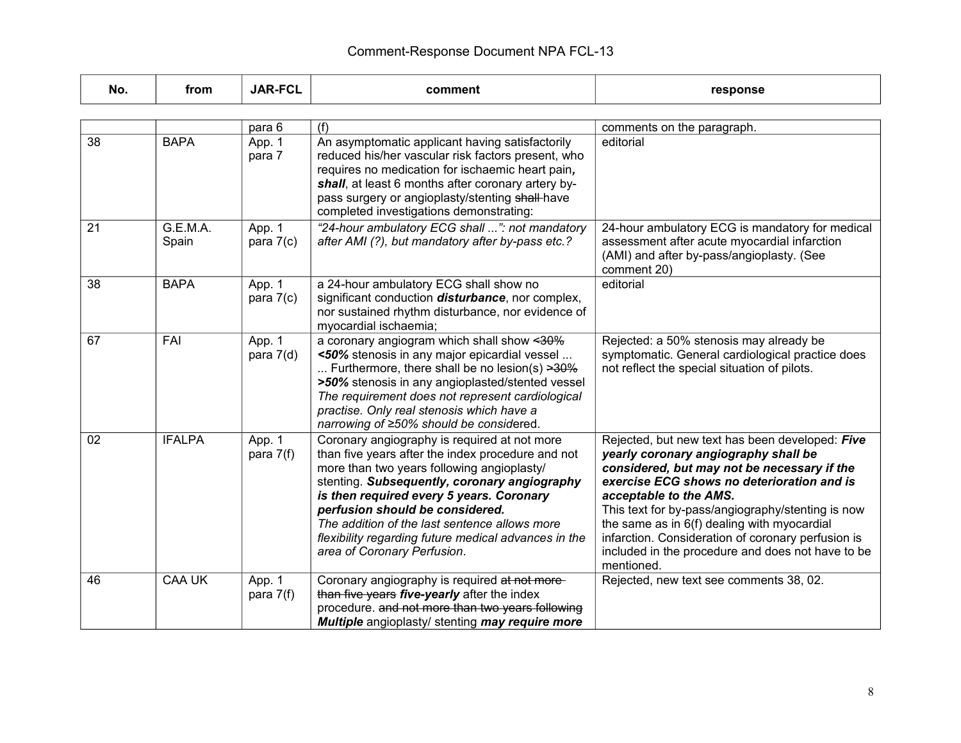| No. | from              | <b>JAR-FCL</b>        | comment                                                                                                                                                                                                                                                                                                                                                                                                                | response                                                                                                                                                                                                                                                                                                                                                                                                                                    |
|-----|-------------------|-----------------------|------------------------------------------------------------------------------------------------------------------------------------------------------------------------------------------------------------------------------------------------------------------------------------------------------------------------------------------------------------------------------------------------------------------------|---------------------------------------------------------------------------------------------------------------------------------------------------------------------------------------------------------------------------------------------------------------------------------------------------------------------------------------------------------------------------------------------------------------------------------------------|
|     |                   |                       |                                                                                                                                                                                                                                                                                                                                                                                                                        |                                                                                                                                                                                                                                                                                                                                                                                                                                             |
|     |                   | para 6                | (f)                                                                                                                                                                                                                                                                                                                                                                                                                    | comments on the paragraph.                                                                                                                                                                                                                                                                                                                                                                                                                  |
| 38  | <b>BAPA</b>       | App. 1<br>para 7      | An asymptomatic applicant having satisfactorily<br>reduced his/her vascular risk factors present, who<br>requires no medication for ischaemic heart pain,<br>shall, at least 6 months after coronary artery by-<br>pass surgery or angioplasty/stenting shall-have<br>completed investigations demonstrating:                                                                                                          | editorial                                                                                                                                                                                                                                                                                                                                                                                                                                   |
| 21  | G.E.M.A.<br>Spain | App. 1<br>para $7(c)$ | "24-hour ambulatory ECG shall ": not mandatory<br>after AMI (?), but mandatory after by-pass etc.?                                                                                                                                                                                                                                                                                                                     | 24-hour ambulatory ECG is mandatory for medical<br>assessment after acute myocardial infarction<br>(AMI) and after by-pass/angioplasty. (See<br>comment 20)                                                                                                                                                                                                                                                                                 |
| 38  | <b>BAPA</b>       | App. 1<br>para $7(c)$ | a 24-hour ambulatory ECG shall show no<br>significant conduction <i>disturbance</i> , nor complex,<br>nor sustained rhythm disturbance, nor evidence of<br>myocardial ischaemia;                                                                                                                                                                                                                                       | editorial                                                                                                                                                                                                                                                                                                                                                                                                                                   |
| 67  | FAI               | App. 1<br>para $7(d)$ | a coronary angiogram which shall show <30%<br><50% stenosis in any major epicardial vessel<br>Furthermore, there shall be no lesion(s) $\geq 30\%$<br>>50% stenosis in any angioplasted/stented vessel<br>The requirement does not represent cardiological<br>practise. Only real stenosis which have a<br>narrowing of ≥50% should be considered.                                                                     | Rejected: a 50% stenosis may already be<br>symptomatic. General cardiological practice does<br>not reflect the special situation of pilots.                                                                                                                                                                                                                                                                                                 |
| 02  | <b>IFALPA</b>     | App. 1<br>para $7(f)$ | Coronary angiography is required at not more<br>than five years after the index procedure and not<br>more than two years following angioplasty/<br>stenting. Subsequently, coronary angiography<br>is then required every 5 years. Coronary<br>perfusion should be considered.<br>The addition of the last sentence allows more<br>flexibility regarding future medical advances in the<br>area of Coronary Perfusion. | Rejected, but new text has been developed: Five<br>yearly coronary angiography shall be<br>considered, but may not be necessary if the<br>exercise ECG shows no deterioration and is<br>acceptable to the AMS.<br>This text for by-pass/angiography/stenting is now<br>the same as in 6(f) dealing with myocardial<br>infarction. Consideration of coronary perfusion is<br>included in the procedure and does not have to be<br>mentioned. |
| 46  | <b>CAA UK</b>     | App. 1<br>para $7(f)$ | Coronary angiography is required at not more-<br>than five years five-yearly after the index<br>procedure. and not more than two years following<br>Multiple angioplasty/ stenting may require more                                                                                                                                                                                                                    | Rejected, new text see comments 38, 02.                                                                                                                                                                                                                                                                                                                                                                                                     |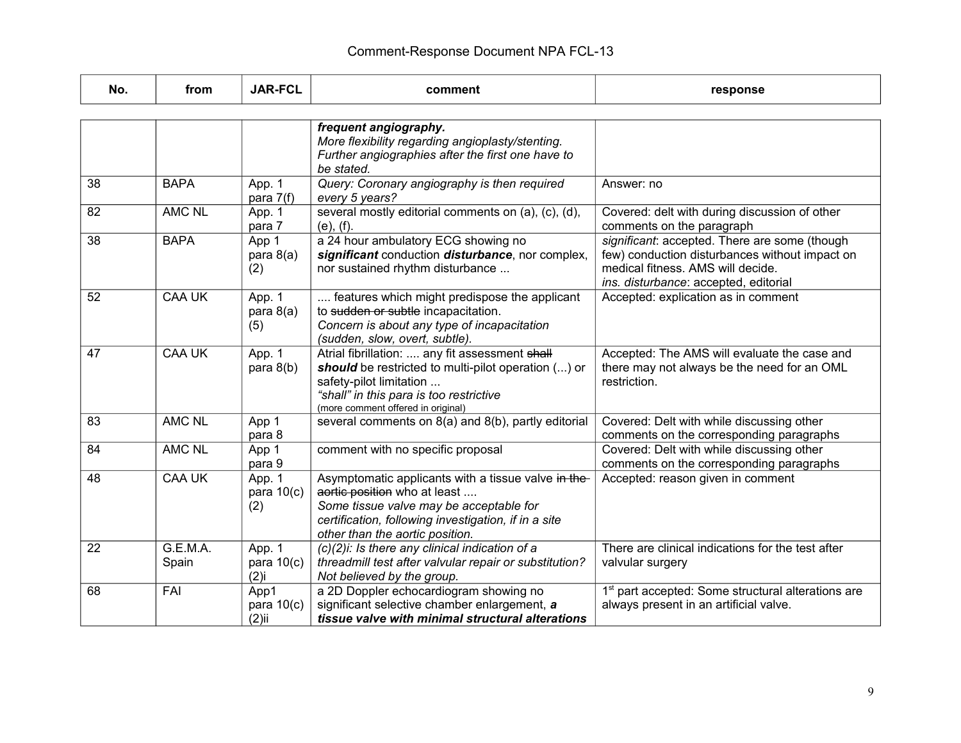| No. | from              | <b>JAR-FCL</b>                    | comment                                                                                                                                                                                                                   | response                                                                                                                                                                      |
|-----|-------------------|-----------------------------------|---------------------------------------------------------------------------------------------------------------------------------------------------------------------------------------------------------------------------|-------------------------------------------------------------------------------------------------------------------------------------------------------------------------------|
|     |                   |                                   |                                                                                                                                                                                                                           |                                                                                                                                                                               |
|     |                   |                                   | frequent angiography.<br>More flexibility regarding angioplasty/stenting.<br>Further angiographies after the first one have to<br>be stated.                                                                              |                                                                                                                                                                               |
| 38  | <b>BAPA</b>       | App. 1<br>para $7(f)$             | Query: Coronary angiography is then required<br>every 5 years?                                                                                                                                                            | Answer: no                                                                                                                                                                    |
| 82  | <b>AMC NL</b>     | App. 1<br>para 7                  | several mostly editorial comments on (a), (c), (d),<br>(e), (f).                                                                                                                                                          | Covered: delt with during discussion of other<br>comments on the paragraph                                                                                                    |
| 38  | <b>BAPA</b>       | App 1<br>para $8(a)$<br>(2)       | a 24 hour ambulatory ECG showing no<br>significant conduction disturbance, nor complex,<br>nor sustained rhythm disturbance                                                                                               | significant: accepted. There are some (though<br>few) conduction disturbances without impact on<br>medical fitness. AMS will decide.<br>ins. disturbance: accepted, editorial |
| 52  | <b>CAA UK</b>     | App. 1<br>para $8(a)$<br>(5)      | features which might predispose the applicant<br>to sudden or subtle incapacitation.<br>Concern is about any type of incapacitation<br>(sudden, slow, overt, subtle).                                                     | Accepted: explication as in comment                                                                                                                                           |
| 47  | <b>CAA UK</b>     | App. 1<br>para $8(b)$             | Atrial fibrillation:  any fit assessment shall<br>should be restricted to multi-pilot operation () or<br>safety-pilot limitation<br>"shall" in this para is too restrictive<br>(more comment offered in original)         | Accepted: The AMS will evaluate the case and<br>there may not always be the need for an OML<br>restriction.                                                                   |
| 83  | <b>AMC NL</b>     | App 1<br>para 8                   | several comments on 8(a) and 8(b), partly editorial                                                                                                                                                                       | Covered: Delt with while discussing other<br>comments on the corresponding paragraphs                                                                                         |
| 84  | <b>AMC NL</b>     | App 1<br>para 9                   | comment with no specific proposal                                                                                                                                                                                         | Covered: Delt with while discussing other<br>comments on the corresponding paragraphs                                                                                         |
| 48  | <b>CAA UK</b>     | App. 1<br>para $10(c)$<br>(2)     | Asymptomatic applicants with a tissue valve in the-<br>aortic position who at least<br>Some tissue valve may be acceptable for<br>certification, following investigation, if in a site<br>other than the aortic position. | Accepted: reason given in comment                                                                                                                                             |
| 22  | G.E.M.A.<br>Spain | App. 1<br>para $10(c)$<br>$(2)$ i | $(c)(2)$ i: Is there any clinical indication of a<br>threadmill test after valvular repair or substitution?<br>Not believed by the group.                                                                                 | There are clinical indications for the test after<br>valvular surgery                                                                                                         |
| 68  | FAI               | App1<br>para $10(c)$<br>$(2)$ ii  | a 2D Doppler echocardiogram showing no<br>significant selective chamber enlargement, a<br>tissue valve with minimal structural alterations                                                                                | 1 <sup>st</sup> part accepted: Some structural alterations are<br>always present in an artificial valve.                                                                      |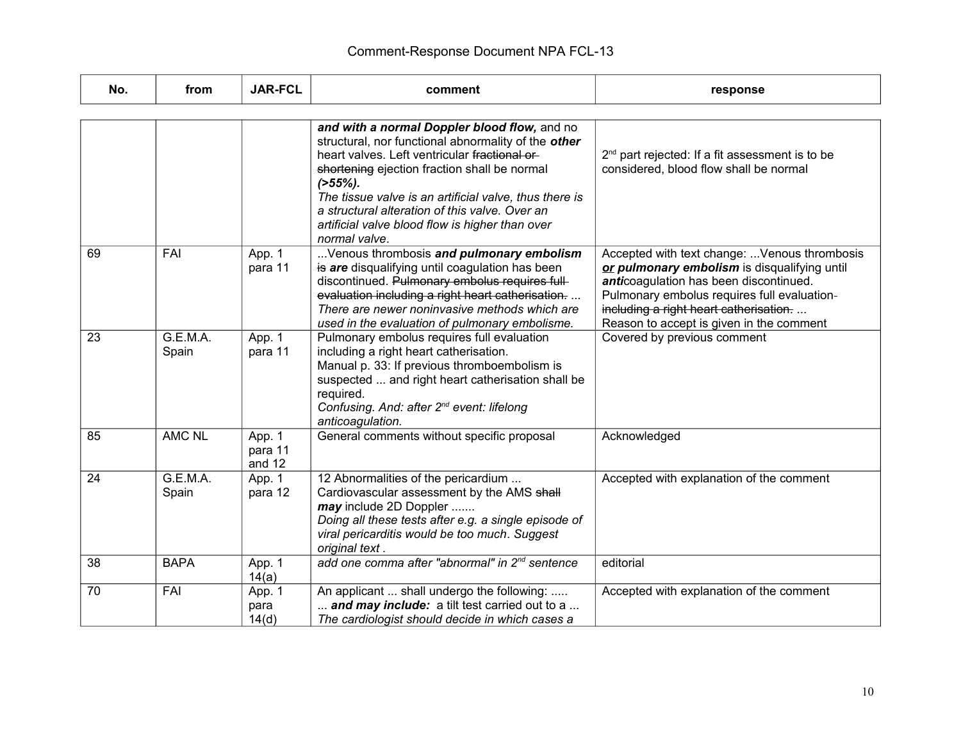| No. | from              | <b>JAR-FCL</b>              | comment                                                                                                                                                                                                                                                                                                                                                                                            | response                                                                                                                                                                                                                                                                    |
|-----|-------------------|-----------------------------|----------------------------------------------------------------------------------------------------------------------------------------------------------------------------------------------------------------------------------------------------------------------------------------------------------------------------------------------------------------------------------------------------|-----------------------------------------------------------------------------------------------------------------------------------------------------------------------------------------------------------------------------------------------------------------------------|
|     |                   |                             |                                                                                                                                                                                                                                                                                                                                                                                                    |                                                                                                                                                                                                                                                                             |
|     |                   |                             | and with a normal Doppler blood flow, and no<br>structural, nor functional abnormality of the other<br>heart valves. Left ventricular fractional or-<br>shortening ejection fraction shall be normal<br>$($ >55%).<br>The tissue valve is an artificial valve, thus there is<br>a structural alteration of this valve. Over an<br>artificial valve blood flow is higher than over<br>normal valve. | 2 <sup>nd</sup> part rejected: If a fit assessment is to be<br>considered, blood flow shall be normal                                                                                                                                                                       |
| 69  | FAI               | App. 1<br>para 11           | Venous thrombosis and pulmonary embolism<br>is are disqualifying until coagulation has been<br>discontinued. Pulmonary embolus requires full-<br>evaluation including a right heart catherisation.<br>There are newer noninvasive methods which are<br>used in the evaluation of pulmonary embolisme.                                                                                              | Accepted with text change:  Venous thrombosis<br>or pulmonary embolism is disqualifying until<br>anticoagulation has been discontinued.<br>Pulmonary embolus requires full evaluation-<br>including a right heart catherisation<br>Reason to accept is given in the comment |
| 23  | G.E.M.A.<br>Spain | App. 1<br>para 11           | Pulmonary embolus requires full evaluation<br>including a right heart catherisation.<br>Manual p. 33: If previous thromboembolism is<br>suspected  and right heart catherisation shall be<br>required.<br>Confusing. And: after 2 <sup>nd</sup> event: lifelong<br>anticoagulation.                                                                                                                | Covered by previous comment                                                                                                                                                                                                                                                 |
| 85  | <b>AMC NL</b>     | App. 1<br>para 11<br>and 12 | General comments without specific proposal                                                                                                                                                                                                                                                                                                                                                         | Acknowledged                                                                                                                                                                                                                                                                |
| 24  | G.E.M.A.<br>Spain | App. 1<br>para 12           | 12 Abnormalities of the pericardium<br>Cardiovascular assessment by the AMS shall<br>may include 2D Doppler<br>Doing all these tests after e.g. a single episode of<br>viral pericarditis would be too much. Suggest<br>original text.                                                                                                                                                             | Accepted with explanation of the comment                                                                                                                                                                                                                                    |
| 38  | <b>BAPA</b>       | App. 1<br>14(a)             | add one comma after "abnormal" in 2 <sup>nd</sup> sentence                                                                                                                                                                                                                                                                                                                                         | editorial                                                                                                                                                                                                                                                                   |
| 70  | FAI               | App. 1<br>para<br>14(d)     | An applicant  shall undergo the following:<br>and may include: a tilt test carried out to a<br>The cardiologist should decide in which cases a                                                                                                                                                                                                                                                     | Accepted with explanation of the comment                                                                                                                                                                                                                                    |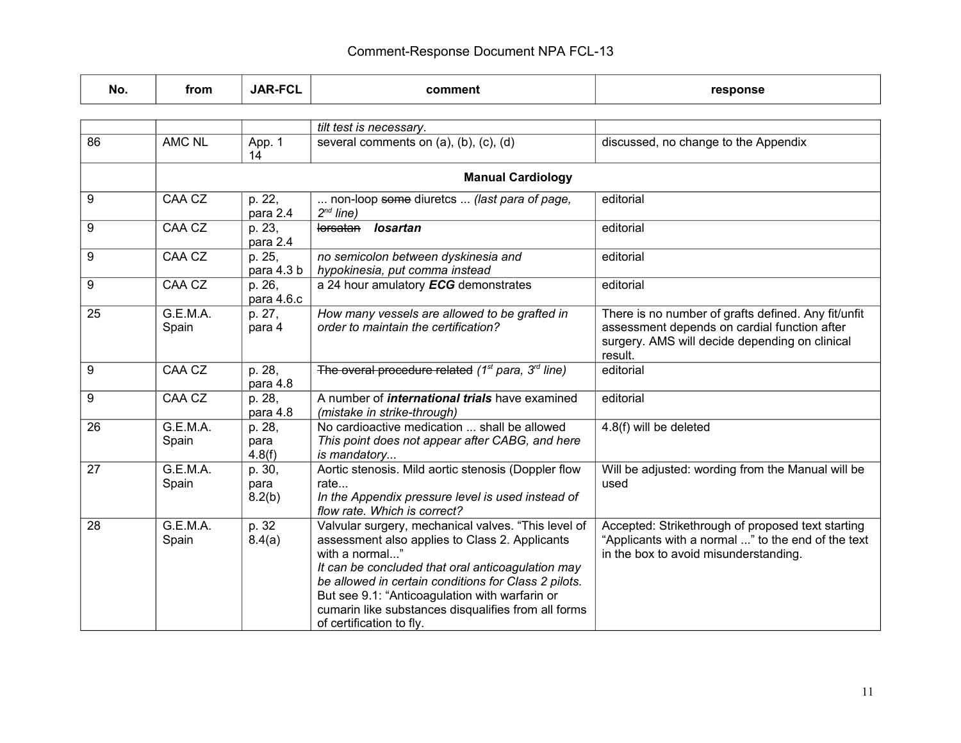| No. | from              | <b>JAR-FCL</b>           | comment                                                                                                                                                                                                                                                                                                                                                                   | response                                                                                                                                                         |
|-----|-------------------|--------------------------|---------------------------------------------------------------------------------------------------------------------------------------------------------------------------------------------------------------------------------------------------------------------------------------------------------------------------------------------------------------------------|------------------------------------------------------------------------------------------------------------------------------------------------------------------|
|     |                   |                          |                                                                                                                                                                                                                                                                                                                                                                           |                                                                                                                                                                  |
|     |                   |                          | tilt test is necessary.                                                                                                                                                                                                                                                                                                                                                   |                                                                                                                                                                  |
| 86  | <b>AMC NL</b>     | App. 1<br>14             | several comments on (a), (b), (c), (d)                                                                                                                                                                                                                                                                                                                                    | discussed, no change to the Appendix                                                                                                                             |
|     |                   |                          | <b>Manual Cardiology</b>                                                                                                                                                                                                                                                                                                                                                  |                                                                                                                                                                  |
| 9   | CAA CZ            | p. 22,<br>para 2.4       | non-loop some diuretcs  (last para of page,<br>$2^{nd}$ line)                                                                                                                                                                                                                                                                                                             | editorial                                                                                                                                                        |
| 9   | CAA CZ            | p. 23,<br>para 2.4       | <b>losartan</b><br>lorsatan                                                                                                                                                                                                                                                                                                                                               | editorial                                                                                                                                                        |
| 9   | CAA CZ            | p. 25,<br>para 4.3 b     | no semicolon between dyskinesia and<br>hypokinesia, put comma instead                                                                                                                                                                                                                                                                                                     | editorial                                                                                                                                                        |
| 9   | CAA CZ            | p. 26,<br>para 4.6.c     | a 24 hour amulatory ECG demonstrates                                                                                                                                                                                                                                                                                                                                      | editorial                                                                                                                                                        |
| 25  | G.E.M.A.<br>Spain | p. 27,<br>para 4         | How many vessels are allowed to be grafted in<br>order to maintain the certification?                                                                                                                                                                                                                                                                                     | There is no number of grafts defined. Any fit/unfit<br>assessment depends on cardial function after<br>surgery. AMS will decide depending on clinical<br>result. |
| 9   | CAA CZ            | p. 28,<br>para 4.8       | The overal procedure related ( $1st$ para, $3rd$ line)                                                                                                                                                                                                                                                                                                                    | editorial                                                                                                                                                        |
| 9   | CAA CZ            | p. 28,<br>para 4.8       | A number of <i>international trials</i> have examined<br>(mistake in strike-through)                                                                                                                                                                                                                                                                                      | editorial                                                                                                                                                        |
| 26  | G.E.M.A.<br>Spain | p. 28,<br>para<br>4.8(f) | No cardioactive medication  shall be allowed<br>This point does not appear after CABG, and here<br>is mandatory                                                                                                                                                                                                                                                           | 4.8(f) will be deleted                                                                                                                                           |
| 27  | G.E.M.A.<br>Spain | p. 30,<br>para<br>8.2(b) | Aortic stenosis. Mild aortic stenosis (Doppler flow<br>rate<br>In the Appendix pressure level is used instead of<br>flow rate. Which is correct?                                                                                                                                                                                                                          | Will be adjusted: wording from the Manual will be<br>used                                                                                                        |
| 28  | G.E.M.A.<br>Spain | p. 32<br>8.4(a)          | Valvular surgery, mechanical valves. "This level of<br>assessment also applies to Class 2. Applicants<br>with a normal"<br>It can be concluded that oral anticoagulation may<br>be allowed in certain conditions for Class 2 pilots.<br>But see 9.1: "Anticoagulation with warfarin or<br>cumarin like substances disqualifies from all forms<br>of certification to fly. | Accepted: Strikethrough of proposed text starting<br>"Applicants with a normal " to the end of the text<br>in the box to avoid misunderstanding.                 |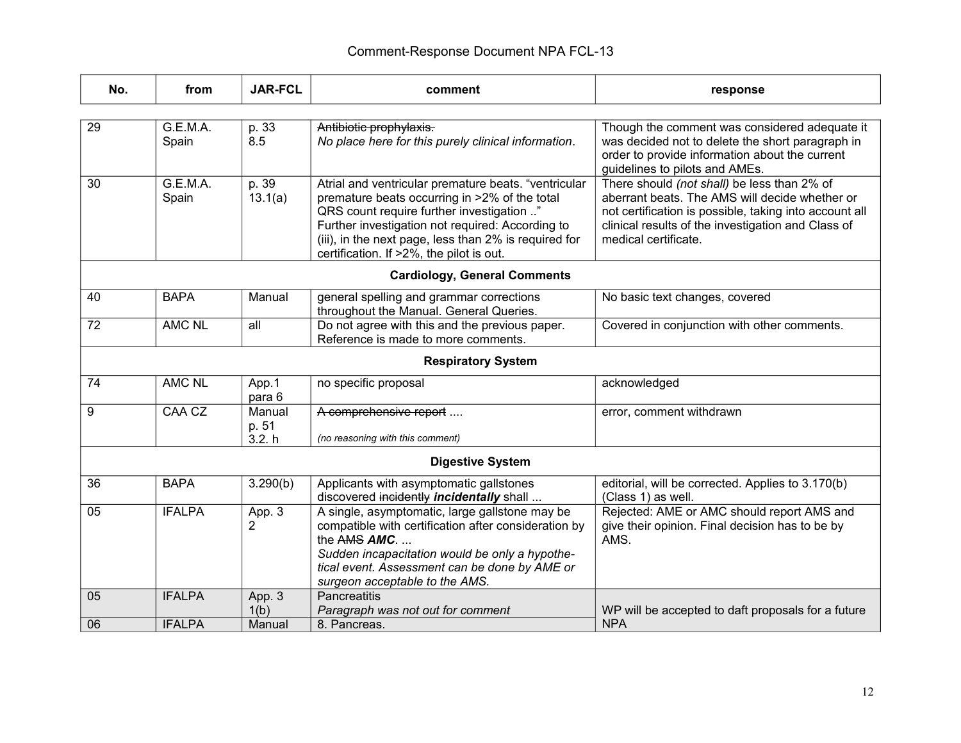| No.                                 | from              | <b>JAR-FCL</b>            | comment                                                                                                                                                                                                                                                                                                     | response                                                                                                                                                                                                                              |  |  |  |  |
|-------------------------------------|-------------------|---------------------------|-------------------------------------------------------------------------------------------------------------------------------------------------------------------------------------------------------------------------------------------------------------------------------------------------------------|---------------------------------------------------------------------------------------------------------------------------------------------------------------------------------------------------------------------------------------|--|--|--|--|
|                                     |                   |                           |                                                                                                                                                                                                                                                                                                             |                                                                                                                                                                                                                                       |  |  |  |  |
| 29                                  | G.E.M.A.<br>Spain | p. 33<br>8.5              | Antibiotic prophylaxis.<br>No place here for this purely clinical information.                                                                                                                                                                                                                              | Though the comment was considered adequate it<br>was decided not to delete the short paragraph in<br>order to provide information about the current<br>guidelines to pilots and AMEs.                                                 |  |  |  |  |
| 30                                  | G.E.M.A.<br>Spain | p. 39<br>13.1(a)          | Atrial and ventricular premature beats. "ventricular<br>premature beats occurring in >2% of the total<br>QRS count require further investigation "<br>Further investigation not required: According to<br>(iii), in the next page, less than 2% is required for<br>certification. If >2%, the pilot is out. | There should (not shall) be less than 2% of<br>aberrant beats. The AMS will decide whether or<br>not certification is possible, taking into account all<br>clinical results of the investigation and Class of<br>medical certificate. |  |  |  |  |
| <b>Cardiology, General Comments</b> |                   |                           |                                                                                                                                                                                                                                                                                                             |                                                                                                                                                                                                                                       |  |  |  |  |
| 40                                  | <b>BAPA</b>       | Manual                    | general spelling and grammar corrections<br>throughout the Manual. General Queries.                                                                                                                                                                                                                         | No basic text changes, covered                                                                                                                                                                                                        |  |  |  |  |
| 72                                  | <b>AMC NL</b>     | all                       | Do not agree with this and the previous paper.<br>Reference is made to more comments.                                                                                                                                                                                                                       | Covered in conjunction with other comments.                                                                                                                                                                                           |  |  |  |  |
| <b>Respiratory System</b>           |                   |                           |                                                                                                                                                                                                                                                                                                             |                                                                                                                                                                                                                                       |  |  |  |  |
| 74                                  | <b>AMC NL</b>     | App.1<br>para 6           | no specific proposal                                                                                                                                                                                                                                                                                        | acknowledged                                                                                                                                                                                                                          |  |  |  |  |
| 9                                   | CAA CZ            | Manual<br>p. 51<br>3.2. h | A comprehensive report<br>(no reasoning with this comment)                                                                                                                                                                                                                                                  | error, comment withdrawn                                                                                                                                                                                                              |  |  |  |  |
| <b>Digestive System</b>             |                   |                           |                                                                                                                                                                                                                                                                                                             |                                                                                                                                                                                                                                       |  |  |  |  |
| 36                                  | <b>BAPA</b>       | 3.290(b)                  | Applicants with asymptomatic gallstones<br>discovered incidently incidentally shall                                                                                                                                                                                                                         | editorial, will be corrected. Applies to 3.170(b)<br>(Class 1) as well.                                                                                                                                                               |  |  |  |  |
| 05                                  | <b>IFALPA</b>     | App. 3<br>2               | A single, asymptomatic, large gallstone may be<br>compatible with certification after consideration by<br>the $AMS$ $AMC$<br>Sudden incapacitation would be only a hypothe-<br>tical event. Assessment can be done by AME or<br>surgeon acceptable to the AMS.                                              | Rejected: AME or AMC should report AMS and<br>give their opinion. Final decision has to be by<br>AMS.                                                                                                                                 |  |  |  |  |
| 05                                  | <b>IFALPA</b>     | App. 3<br>1(b)            | Pancreatitis<br>Paragraph was not out for comment                                                                                                                                                                                                                                                           | WP will be accepted to daft proposals for a future                                                                                                                                                                                    |  |  |  |  |
| 06                                  | <b>IFALPA</b>     | Manual                    | 8. Pancreas.                                                                                                                                                                                                                                                                                                | <b>NPA</b>                                                                                                                                                                                                                            |  |  |  |  |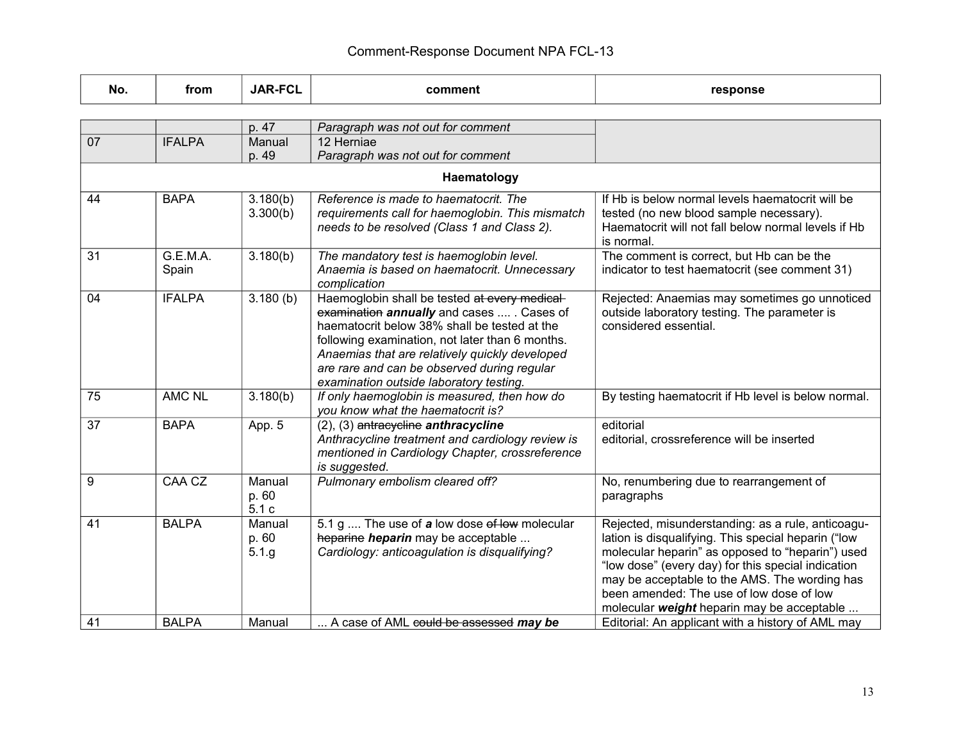| No.             | from              | <b>JAR-FCL</b>           | comment                                                                                                                                                                                                                                                                                                                                    | response                                                                                                                                                                                                                                                                                                                                                      |  |  |  |
|-----------------|-------------------|--------------------------|--------------------------------------------------------------------------------------------------------------------------------------------------------------------------------------------------------------------------------------------------------------------------------------------------------------------------------------------|---------------------------------------------------------------------------------------------------------------------------------------------------------------------------------------------------------------------------------------------------------------------------------------------------------------------------------------------------------------|--|--|--|
|                 |                   |                          |                                                                                                                                                                                                                                                                                                                                            |                                                                                                                                                                                                                                                                                                                                                               |  |  |  |
|                 |                   | p. 47                    | Paragraph was not out for comment                                                                                                                                                                                                                                                                                                          |                                                                                                                                                                                                                                                                                                                                                               |  |  |  |
| $\overline{07}$ | <b>IFALPA</b>     | Manual                   | 12 Herniae                                                                                                                                                                                                                                                                                                                                 |                                                                                                                                                                                                                                                                                                                                                               |  |  |  |
|                 |                   | p. 49                    | Paragraph was not out for comment                                                                                                                                                                                                                                                                                                          |                                                                                                                                                                                                                                                                                                                                                               |  |  |  |
| Haematology     |                   |                          |                                                                                                                                                                                                                                                                                                                                            |                                                                                                                                                                                                                                                                                                                                                               |  |  |  |
| 44              | <b>BAPA</b>       | 3.180(b)<br>3.300(b)     | Reference is made to haematocrit. The<br>requirements call for haemoglobin. This mismatch<br>needs to be resolved (Class 1 and Class 2).                                                                                                                                                                                                   | If Hb is below normal levels haematocrit will be<br>tested (no new blood sample necessary).<br>Haematocrit will not fall below normal levels if Hb<br>is normal.                                                                                                                                                                                              |  |  |  |
| 31              | G.E.M.A.<br>Spain | 3.180(b)                 | The mandatory test is haemoglobin level.<br>Anaemia is based on haematocrit. Unnecessary<br>complication                                                                                                                                                                                                                                   | The comment is correct, but Hb can be the<br>indicator to test haematocrit (see comment 31)                                                                                                                                                                                                                                                                   |  |  |  |
| 04              | <b>IFALPA</b>     | 3.180(b)                 | Haemoglobin shall be tested at every medical-<br>examination annually and cases  . Cases of<br>haematocrit below 38% shall be tested at the<br>following examination, not later than 6 months.<br>Anaemias that are relatively quickly developed<br>are rare and can be observed during regular<br>examination outside laboratory testing. | Rejected: Anaemias may sometimes go unnoticed<br>outside laboratory testing. The parameter is<br>considered essential.                                                                                                                                                                                                                                        |  |  |  |
| 75              | <b>AMC NL</b>     | 3.180(b)                 | If only haemoglobin is measured, then how do<br>you know what the haematocrit is?                                                                                                                                                                                                                                                          | By testing haematocrit if Hb level is below normal.                                                                                                                                                                                                                                                                                                           |  |  |  |
| 37              | <b>BAPA</b>       | App. 5                   | $(2)$ , $(3)$ antracycline anthracycline<br>Anthracycline treatment and cardiology review is<br>mentioned in Cardiology Chapter, crossreference<br>is suggested.                                                                                                                                                                           | editorial<br>editorial, crossreference will be inserted                                                                                                                                                                                                                                                                                                       |  |  |  |
| 9               | CAA CZ            | Manual<br>p. 60<br>5.1c  | Pulmonary embolism cleared off?                                                                                                                                                                                                                                                                                                            | No, renumbering due to rearrangement of<br>paragraphs                                                                                                                                                                                                                                                                                                         |  |  |  |
| 41              | <b>BALPA</b>      | Manual<br>p. 60<br>5.1.g | 5.1 g  The use of a low dose of low molecular<br>heparine heparin may be acceptable<br>Cardiology: anticoagulation is disqualifying?                                                                                                                                                                                                       | Rejected, misunderstanding: as a rule, anticoagu-<br>lation is disqualifying. This special heparin ("low<br>molecular heparin" as opposed to "heparin") used<br>"low dose" (every day) for this special indication<br>may be acceptable to the AMS. The wording has<br>been amended: The use of low dose of low<br>molecular weight heparin may be acceptable |  |  |  |
| 41              | <b>BALPA</b>      | Manual                   | A case of AML could be assessed may be                                                                                                                                                                                                                                                                                                     | Editorial: An applicant with a history of AML may                                                                                                                                                                                                                                                                                                             |  |  |  |